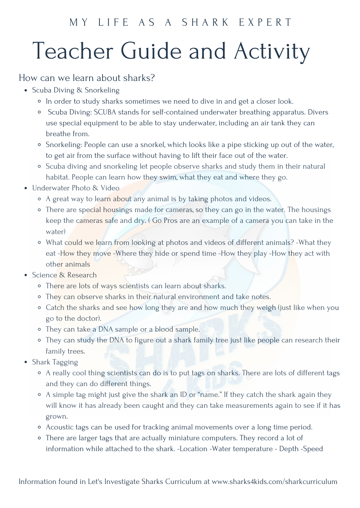### M Y L I F E A S A S H A R K E X P E R T

# Teacher Guide and Activity

#### How can we learn about sharks?

- Scuba Diving & Snorkeling
	- o In order to study sharks sometimes we need to dive in and get a closer look.
	- Scuba Diving: SCUBA stands for self-contained underwater breathing apparatus. Divers use special equipment to be able to stay underwater, including an air tank they can breathe from.
	- Snorkeling: People can use a snorkel, which looks like a pipe sticking up out of the water, to get air from the surface without having to lift their face out of the water.
	- Scuba diving and snorkeling let people observe sharks and study them in their natural habitat. People can learn how they swim, what they eat and where they go.
- Underwater Photo & Video
	- <sup>o</sup> A great way to learn about any animal is by taking photos and videos.
	- <sup>o</sup> There are special housings made for cameras, so they can go in the water. The housings keep the cameras safe and dry. ( Go Pros are an example of a camera you can take in the water)
	- What could we learn from looking at photos and videos of different animals? -What they eat -How they move -Where they hide or spend time -How they play -How they act with other animals
- Science & Research
	- o There are lots of ways scientists can learn about sharks.
	- o They can observe sharks in their natural environment and take notes.
	- <sup>o</sup> Catch the sharks and see how long they are and how much they weigh (just like when you go to the doctor).
	- They can take a DNA sample or a blood sample.
	- They can study the DNA to figure out a shark family tree just like people can research their family trees.
- Shark Tagging
	- A really cool thing scientists can do is to put tags on sharks. There are lots of different tags and they can do different things.
	- A simple tag might just give the shark an ID or "name." If they catch the shark again they will know it has already been caught and they can take measurements again to see if it has grown.
	- Acoustic tags can be used for tracking animal movements over a long time period.
	- There are larger tags that are actually miniature computers. They record a lot of information while attached to the shark. -Location -Water temperature - Depth -Speed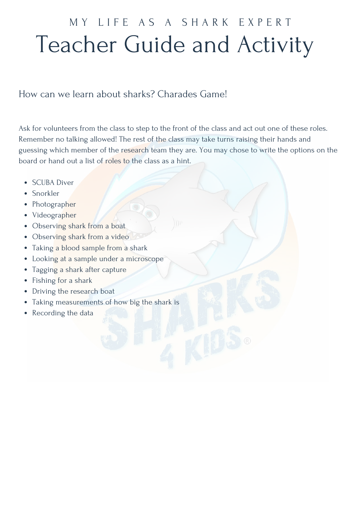### Teacher Guide and Activity MY LIFE AS A SHARK EXPERT

#### How can we learn about sharks? Charades Game!

Ask for volunteers from the class to step to the front of the class and act out one of these roles. Remember no talking allowed! The rest of the class may take turns raising their hands and guessing which member of the research team they are. You may chose to write the options on the board or hand out a list of roles to the class as a hint.

- SCUBA Diver
- Snorkler
- Photographer
- Videographer
- Observing shark from a boat
- Observing shark from a video
- Taking a blood sample from a shark
- Looking at a sample under a microscope
- Tagging a shark after capture
- Fishing for a shark
- Driving the research boat
- Taking measurements of how big the shark is
- Recording the data